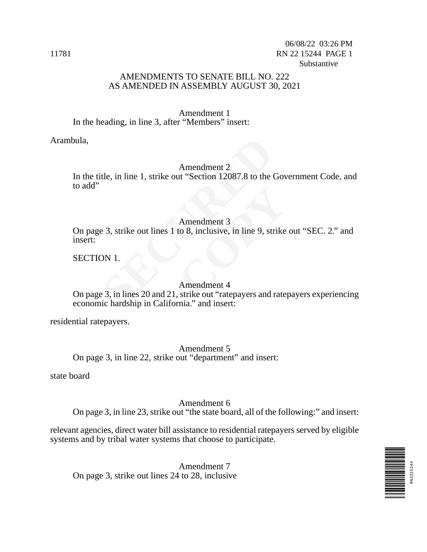#### AMENDMENTS TO SENATE BILL NO. 222 AS AMENDED IN ASSEMBLY AUGUST 30, 2021

Amendment 1 In the heading, in line 3, after "Members" insert:

Arambula,

#### Amendment 2

In the title, in line 1, strike out "Section 12087.8 to the Government Code, and to add"

#### Amendment 3

Amendment 2<br>
tle, in line 1, strike out "Section 12087.8 to the the<br>
Amendment 3<br>
3, strike out lines 1 to 8, inclusive, in line 9, strike out lines 1 to 8, inclusive, in line 9, strike out<br>
NN 1.<br>
Amendment 4<br>
3, in lines Amendment 3<br>to 8, inclusive, in line 9, strike<br>**COPY**<br>*COPY*<br>*COPY*<br>*COPY*<br>*COPY*<br>*COPY*<br>*COPY*<br>*COPY*<br>*COPY*<br>*COPY*<br>*COPY*<br>*COPY*<br>*COPY*<br>**COPY**<br>**COPY**<br>**COPY**<br>**COPY**<br>**COPY**<br>**COPY**<br>**COPY**<br>**COPY** On page 3, strike out lines 1 to 8, inclusive, in line 9, strike out "SEC. 2." and insert:

SECTION 1.

#### Amendment 4

On page 3, in lines 20 and 21, strike out "ratepayers and ratepayers experiencing economic hardship in California." and insert:

residential ratepayers.

Amendment 5 On page 3, in line 22, strike out "department" and insert:

state board

#### Amendment 6

On page 3, in line 23, strike out "the state board, all of the following:" and insert:

relevant agencies, direct water bill assistance to residential ratepayers served by eligible systems and by tribal water systems that choose to participate.

RN2215244

Amendment 7 On page 3, strike out lines 24 to 28, inclusive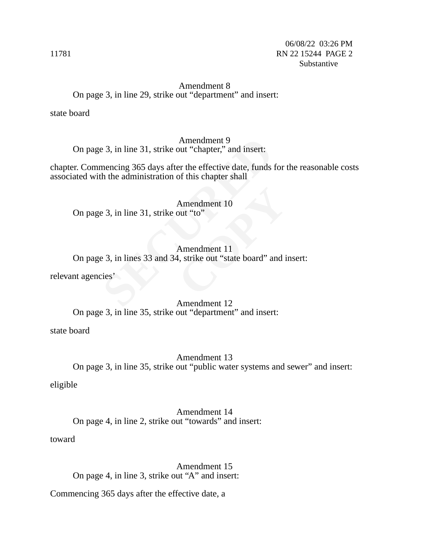#### Amendment 8 On page 3, in line 29, strike out "department" and insert:

state board

Amendment 9 On page 3, in line 31, strike out "chapter," and insert:

chapter. Commencing 365 days after the effective date, funds for the reasonable costs associated with the administration of this chapter shall

Amendment 10 On page 3, in line 31, strike out "to"

# Amendment 9<br> **SECURE 31, strike out "chapter," and insert:**<br>
mencing 365 days after the effective date, funds<br>
th the administration of this chapter shall<br>
Amendment 10<br> **SECURE 31, strike out "to"**<br>
Amendment 11<br> **SECURE** Amendment 10<br>
out "to"<br>
Amendment 11<br>
4, strike out "state board" and i Amendment 11 On page 3, in lines 33 and 34, strike out "state board" and insert:

relevant agencies'

#### Amendment 12 On page 3, in line 35, strike out "department" and insert:

state board

Amendment 13 On page 3, in line 35, strike out "public water systems and sewer" and insert:

eligible

Amendment 14 On page 4, in line 2, strike out "towards" and insert:

toward

Amendment 15 On page 4, in line 3, strike out "A" and insert:

Commencing 365 days after the effective date, a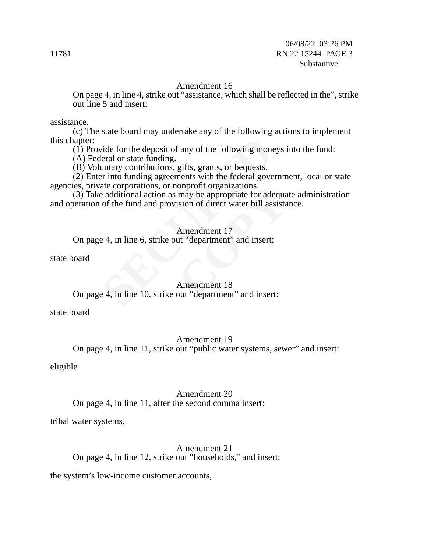#### Amendment 16

On page 4, in line 4, strike out "assistance, which shall be reflected in the", strike out line 5 and insert:

assistance.

(c) The state board may undertake any of the following actions to implement this chapter:

 $(1)$  Provide for the deposit of any of the following moneys into the fund:

(A) Federal or state funding.

(B) Voluntary contributions, gifts, grants, or bequests.

(2) Enter into funding agreements with the federal government, local or state agencies, private corporations, or nonprofit organizations.

Figure 18 and the deposit of any of the following mone<br>
Figure and or state funding.<br>
Security contributions, gifts, grants, or bequests.<br>
Figure 18 and the form and provision of direct water bill ass<br>
Figure 2.1 and and p onprofit organizations.<br>
may be appropriate for adequalsion of direct water bill assista<br>
Samendment 17<br>
ut "department" and insert:<br>
Amendment 18<br>
out "department" and insert: (3) Take additional action as may be appropriate for adequate administration and operation of the fund and provision of direct water bill assistance.

#### Amendment 17

On page 4, in line 6, strike out "department" and insert:

state board

## Amendment 18

## On page 4, in line 10, strike out "department" and insert:

state board

#### Amendment 19

On page 4, in line 11, strike out "public water systems, sewer" and insert:

eligible

#### Amendment 20

On page 4, in line 11, after the second comma insert:

tribal water systems,

#### Amendment 21 On page 4, in line 12, strike out "households," and insert:

the system's low-income customer accounts,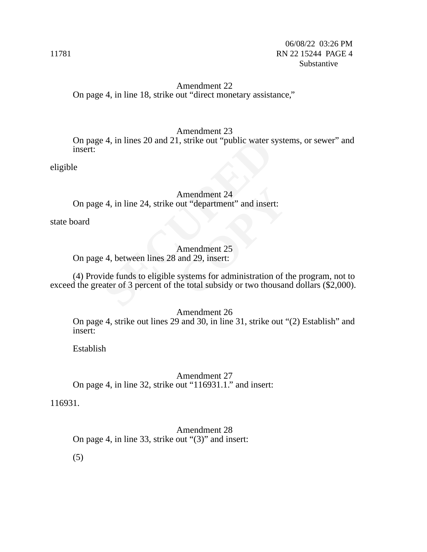#### Amendment 22 On page 4, in line 18, strike out "direct monetary assistance,"

#### Amendment 23

Example 20 and 21, strike out "public water state of the 124 strike out "department" and insertional and interest and interest and interest and the control of the total subsidy or two thousand the total subsidy or two thou On page 4, in lines 20 and 21, strike out "public water systems, or sewer" and insert:

eligible

#### Amendment 24 On page 4, in line 24, strike out "department" and insert:

state board

Amendment 25 On page 4, between lines 28 and 29, insert:

Amendment 24<br>
out "department" and insert:<br>
Amendment 25<br>
and 29, insert:<br>
systems for administration of the total subsidy or two thousan (4) Provide funds to eligible systems for administration of the program, not to exceed the greater of 3 percent of the total subsidy or two thousand dollars (\$2,000).

Amendment 26

On page 4, strike out lines 29 and 30, in line 31, strike out "(2) Establish" and insert:

Establish

Amendment 27 On page 4, in line 32, strike out "116931.1." and insert:

116931.

Amendment 28 On page 4, in line 33, strike out "(3)" and insert:

(5)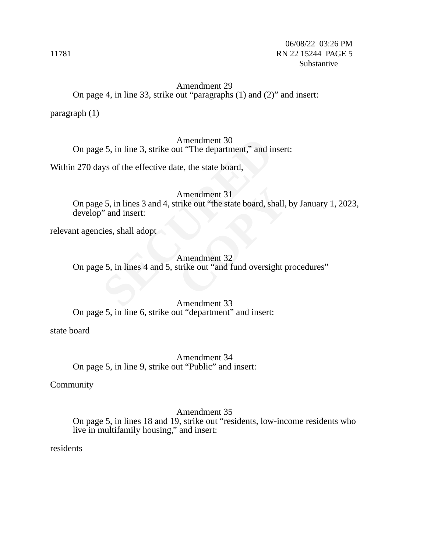#### Amendment 29 On page 4, in line 33, strike out "paragraphs (1) and (2)" and insert:

paragraph (1)

Amendment 30 On page 5, in line 3, strike out "The department," and insert:

Within 270 days of the effective date, the state board,

Amendment 30<br>
S. 5, in line 3, strike out "The department," and ir<br>
ys of the effective date, the state board,<br>
Amendment 31<br>
S. 5, in lines 3 and 4, strike out "the state board, sh<br>
is, shall adopt<br>
Amendment 32<br>
F. 5, in Amendment 31<br>
rike out "the state board, shall,<br>
Amendment 32<br>
strike out "and fund oversight p Amendment 31 On page 5, in lines 3 and 4, strike out "the state board, shall, by January 1, 2023, develop" and insert:

relevant agencies, shall adopt

Amendment 32 On page 5, in lines 4 and 5, strike out "and fund oversight procedures"

Amendment 33 On page 5, in line 6, strike out "department" and insert:

state board

Amendment 34 On page 5, in line 9, strike out "Public" and insert:

Community

Amendment 35 On page 5, in lines 18 and 19, strike out "residents, low-income residents who live in multifamily housing," and insert:

residents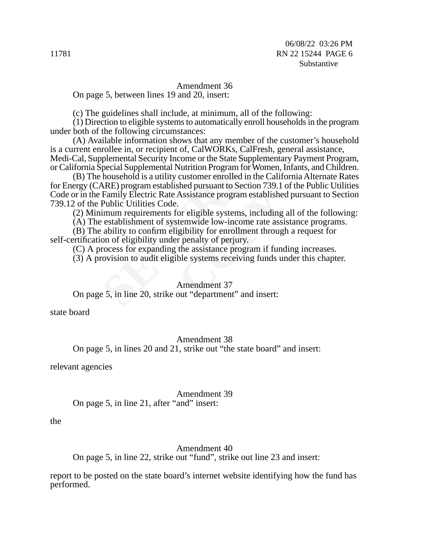#### Amendment 36

On page 5, between lines 19 and 20, insert:

(c) The guidelines shall include, at minimum, all of the following:

(1) Direction to eligible systems to automatically enroll households in the program under both of the following circumstances:

ilable information shows that any member of th<br>rollee in, or recipient of, CalWORKs, CalFresh,<br>plemental Security Income or the State Suppleme<br>pecial Supplemental Nutrition Program for Wome<br>household is a utility customer (A) Available information shows that any member of the customer's household is a current enrollee in, or recipient of, CalWORKs, CalFresh, general assistance, Medi-Cal, Supplemental Security Income or the State Supplementary Payment Program, or California Special Supplemental Nutrition Program for Women, Infants, and Children.

Sich pursuant to Section 739.1 C<br>Assistance program established<br>Cor eligible systems, including a<br>temwide low-income rate assis<br>gibility for enrollment through<br>r penalty of perjury.<br>the assistance program if fund<br>ble syste (B) The household is a utility customer enrolled in the California Alternate Rates for Energy (CARE) program established pursuant to Section 739.1 of the Public Utilities Code or in the Family Electric Rate Assistance program established pursuant to Section 739.12 of the Public Utilities Code.

(2) Minimum requirements for eligible systems, including all of the following:

(A) The establishment of systemwide low-income rate assistance programs.

(B) The ability to confirm eligibility for enrollment through a request for self-certification of eligibility under penalty of perjury.

(C) A process for expanding the assistance program if funding increases.

(3) A provision to audit eligible systems receiving funds under this chapter.

#### Amendment 37

On page 5, in line 20, strike out "department" and insert:

state board

Amendment 38

On page 5, in lines 20 and 21, strike out "the state board" and insert:

relevant agencies

Amendment 39

On page 5, in line 21, after "and" insert:

the

#### Amendment 40

On page 5, in line 22, strike out "fund", strike out line 23 and insert:

report to be posted on the state board's internet website identifying how the fund has performed.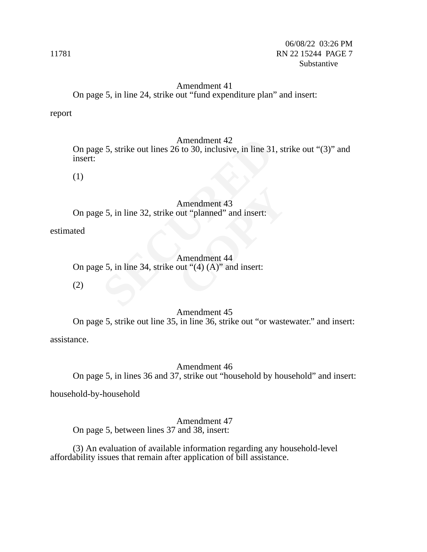### Amendment 41 On page 5, in line 24, strike out "fund expenditure plan" and insert:

report

#### Amendment 42

Amendment 42<br>
E 5, strike out lines 26 to 30, inclusive, in line 31<br>
E 5, in line 32, strike out "planned" and insert:<br>
E 5, in line 34, strike out "(4) (A)" and insert:<br>
E 5, in line 34, strike out "(4) (A)" and insert: On page 5, strike out lines 26 to 30, inclusive, in line 31, strike out "(3)" and insert:

(1)

Amendment 43<br>
but "planned" and insert:<br>
Amendment 44<br>
but "(4) (A)" and insert: Amendment 43 On page 5, in line 32, strike out "planned" and insert:

estimated

Amendment 44 On page 5, in line 34, strike out " $(4)$   $(A)$ " and insert:

(2)

#### Amendment 45

On page 5, strike out line 35, in line 36, strike out "or wastewater." and insert: assistance.

Amendment 46

On page 5, in lines 36 and 37, strike out "household by household" and insert:

household-by-household

Amendment 47 On page 5, between lines 37 and 38, insert:

(3) An evaluation of available information regarding any household-level affordability issues that remain after application of bill assistance.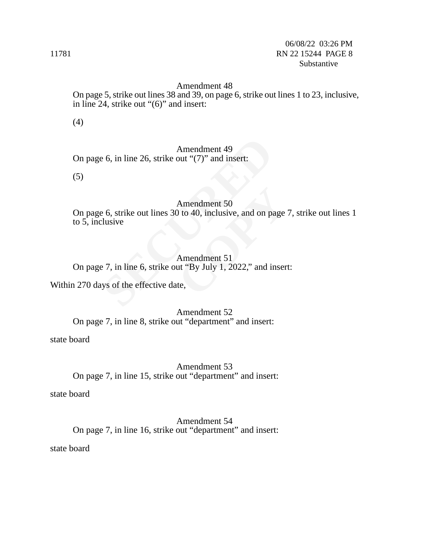#### Amendment 48

On page 5, strike out lines 38 and 39, on page 6, strike out lines 1 to 23, inclusive, in line 24, strike out "(6)" and insert:

(4)

#### Amendment 49

On page 6, in line 26, strike out "(7)" and insert:

(5)

#### Amendment 50

Amendment 49<br>
E 6, in line 26, strike out "(7)" and insert:<br>
Amendment 50<br>
E 6, strike out lines 30 to 40, inclusive, and on parallel<br>
E 7, in line 6, strike out "By July 1, 2022," and it<br>
Se 7, in line 6, strike out "By J Amendment 50<br>
(1) to 40, inclusive, and on page<br>
Amendment 51<br>
ut "By July 1, 2022," and inser<br>
te, On page 6, strike out lines 30 to 40, inclusive, and on page 7, strike out lines 1 to 5, inclusive

#### Amendment 51

On page 7, in line 6, strike out "By July 1, 2022," and insert:

Within 270 days of the effective date,

Amendment 52 On page 7, in line 8, strike out "department" and insert:

state board

Amendment 53 On page 7, in line 15, strike out "department" and insert:

state board

Amendment 54 On page 7, in line 16, strike out "department" and insert:

state board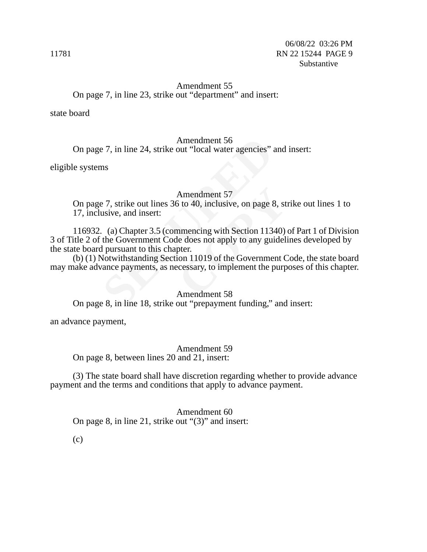#### Amendment 55 On page 7, in line 23, strike out "department" and insert:

state board

#### Amendment 56

On page 7, in line 24, strike out "local water agencies" and insert:

eligible systems

#### Amendment 57

On page 7, strike out lines 36 to 40, inclusive, on page 8, strike out lines 1 to 17, inclusive, and insert:

Amendment 56<br>
27, in line 24, strike out "local water agencies" and<br>
157<br>
27, strike out lines 36 to 40, inclusive, on page<br>
28 usive, and insert:<br>
3. (a) Chapter 3.5 (commencing with Section 113<br>
113 the Government Code d Amendment 57<br>
S to 40, inclusive, on page 8, st<br>
nmencing with Section 11340)<br>
le does not apply to any guideli<br>
pter.<br>
ion 11019 of the Government C<br>
ccessary, to implement the purp<br>
Amendment 58 116932. (a) Chapter 3.5 (commencing with Section 11340) of Part 1 of Division 3 of Title 2 of the Government Code does not apply to any guidelines developed by the state board pursuant to this chapter.

(b) (1) Notwithstanding Section 11019 of the Government Code, the state board may make advance payments, as necessary, to implement the purposes of this chapter.

#### Amendment 58

On page 8, in line 18, strike out "prepayment funding," and insert:

an advance payment,

#### Amendment 59

On page 8, between lines 20 and 21, insert:

(3) The state board shall have discretion regarding whether to provide advance payment and the terms and conditions that apply to advance payment.

Amendment 60 On page 8, in line 21, strike out "(3)" and insert:

(c)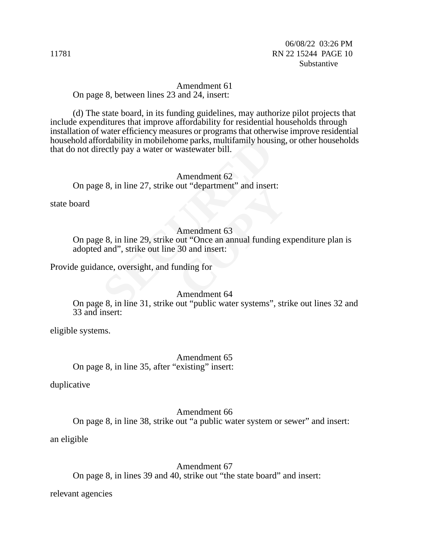Amendment 61 On page 8, between lines 23 and 24, insert:

(d) The state board, in its funding guidelines, may authorize pilot projects that include expenditures that improve affordability for residential households through installation of water efficiency measures or programs that otherwise improve residential household affordability in mobilehome parks, multifamily housing, or other households that do not directly pay a water or wastewater bill.

Amendment 62 On page 8, in line 27, strike out "department" and insert:

state board

#### Amendment 63

ordability in mobilehome parks, multifamily hous<br>ectly pay a water or wastewater bill.<br>Amendment 62<br>e 8, in line 27, strike out "department" and inser<br>Amendment 63<br>e 8, in line 29, strike out "Once an annual fundir<br>and", s Sut department and mseries<br>Amendment 63<br>out "Once an annual funding e:<br>30 and insert:<br>unding for<br>Amendment 64 On page 8, in line 29, strike out "Once an annual funding expenditure plan is adopted and", strike out line 30 and insert:

Provide guidance, oversight, and funding for

#### Amendment 64

On page 8, in line 31, strike out "public water systems", strike out lines 32 and 33 and insert:

eligible systems.

Amendment 65 On page 8, in line 35, after "existing" insert:

duplicative

Amendment 66 On page 8, in line 38, strike out "a public water system or sewer" and insert:

an eligible

Amendment 67

On page 8, in lines 39 and 40, strike out "the state board" and insert:

relevant agencies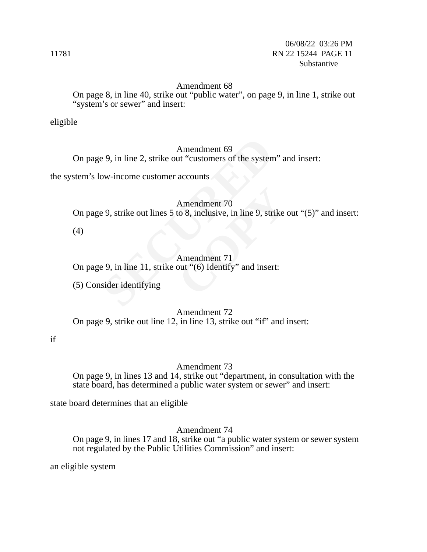#### Amendment 68

On page 8, in line 40, strike out "public water", on page 9, in line 1, strike out "system's or sewer" and insert:

eligible

#### Amendment 69

Amendment 69<br>
Section 1 in the 2, strike out "customers of the system<br>
ow-income customer accounts<br>
Section 2.9, strike out lines 5 to 8, inclusive, in line 9, strike<br>
Amendment 71<br>
Section 11, strike out "(6) Identify" an On page 9, in line 2, strike out "customers of the system" and insert:

the system's low-income customer accounts

Amendment 70

Amendment 70<br>to 8, inclusive, in line 9, strike of<br>Amendment 71<br>out "(6) Identify" and insert: On page 9, strike out lines 5 to 8, inclusive, in line 9, strike out "(5)" and insert:

(4)

#### Amendment 71

On page 9, in line 11, strike out "(6) Identify" and insert:

(5) Consider identifying

Amendment 72

On page 9, strike out line 12, in line 13, strike out "if" and insert:

if

#### Amendment 73

On page 9, in lines 13 and 14, strike out "department, in consultation with the state board, has determined a public water system or sewer" and insert:

state board determines that an eligible

Amendment 74

On page 9, in lines 17 and 18, strike out "a public water system or sewer system not regulated by the Public Utilities Commission" and insert:

an eligible system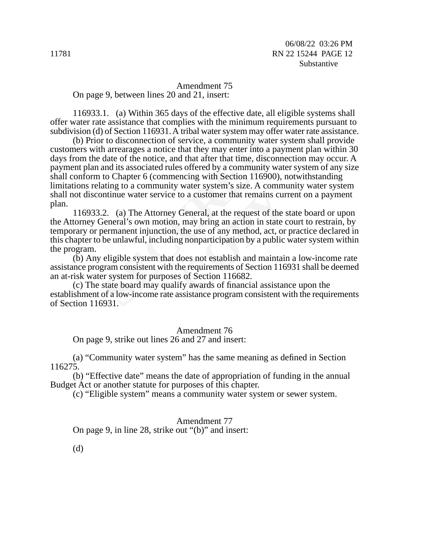Amendment 75 On page 9, between lines 20 and 21, insert:

116933.1. (a) Within 365 days of the effective date, all eligible systems shall offer water rate assistance that complies with the minimum requirements pursuant to subdivision (d) of Section 116931. A tribal water system may offer water rate assistance.

r to disconnection of service, a community wate<br>h arrearages a notice that they may enter into a p<br>date of the notice, and that after that time, disco<br>and its associated rules offered by a community v<br>to Chapter 6 (commenc (b) Prior to disconnection of service, a community water system shall provide customers with arrearages a notice that they may enter into a payment plan within 30 days from the date of the notice, and that after that time, disconnection may occur. A payment plan and its associated rules offered by a community water system of any size shall conform to Chapter 6 (commencing with Section 116900), notwithstanding limitations relating to a community water system's size. A community water system shall not discontinue water service to a customer that remains current on a payment plan.

water system s size. A commit<br>to a customer that remains cur<br>General, at the request of the s<br>i, may bring an action in state c<br>the use of any method, act, or<br>ig nonparticipation by a public<br>does not establish and maintain 116933.2. (a) The Attorney General, at the request of the state board or upon the Attorney General's own motion, may bring an action in state court to restrain, by temporary or permanent injunction, the use of any method, act, or practice declared in this chapter to be unlawful, including nonparticipation by a public water system within the program.

(b) Any eligible system that does not establish and maintain a low-income rate assistance program consistent with the requirements of Section 116931 shall be deemed an at-risk water system for purposes of Section 116682.

(c) The state board may qualify awards of financial assistance upon the establishment of a low-income rate assistance program consistent with the requirements of Section 116931.

#### Amendment 76

On page 9, strike out lines 26 and 27 and insert:

(a) "Community water system" has the same meaning as defined in Section 116275.

(b) "Effective date" means the date of appropriation of funding in the annual Budget Act or another statute for purposes of this chapter.

(c) "Eligible system" means a community water system or sewer system.

Amendment 77 On page 9, in line 28, strike out "(b)" and insert:

(d)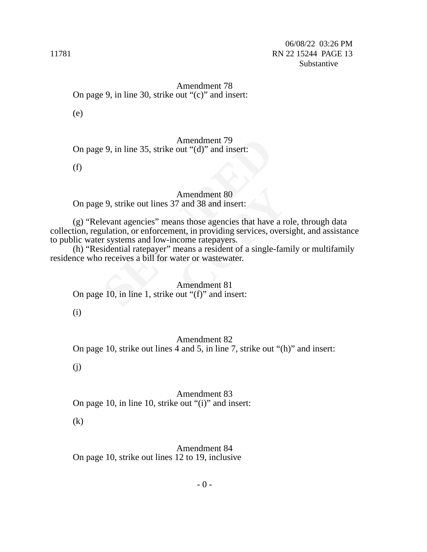Amendment 78 On page 9, in line 30, strike out "(c)" and insert:

(e)

Amendment 79 On page 9, in line 35, strike out "(d)" and insert:

(f)

Amendment 80 On page 9, strike out lines 37 and 38 and insert:

Amendment 79<br>
9, in line 35, strike out "(d)" and insert:<br>
Amendment 80<br>
9, strike out lines 37 and 38 and insert:<br>
levant agencies" means those agencies that have<br>
ulation, or enforcement, in providing services, or<br>
siden Amendment 80<br>
7 and 38 and insert:<br>
ms those agencies that have a re<br>
ent, in providing services, overs<br>
come ratepayers.<br>
neans a resident of a single-fan<br>
ater or wastewater.<br>
Amendment 81<br>
out "(f)" and insert: (g) "Relevant agencies" means those agencies that have a role, through data collection, regulation, or enforcement, in providing services, oversight, and assistance to public water systems and low-income ratepayers.

(h) "Residential ratepayer" means a resident of a single-family or multifamily residence who receives a bill for water or wastewater.

Amendment 81 On page 10, in line 1, strike out "(f)" and insert:

(i)

Amendment 82 On page 10, strike out lines 4 and 5, in line 7, strike out "(h)" and insert:

(j)

Amendment 83 On page 10, in line 10, strike out "(i)" and insert:

(k)

Amendment 84 On page 10, strike out lines 12 to 19, inclusive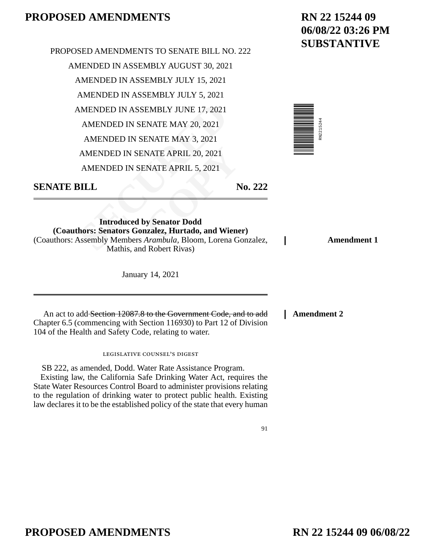MENDED IN ASSEMBLY JUNE 17, 2021<br>
AMENDED IN SENATE MAY 20, 2021<br>
AMENDED IN SENATE MAY 3, 2021<br>
AMENDED IN SENATE APRIL 20, 2021<br>
AMENDED IN SENATE APRIL 5, 2021<br> **SILL<br>
SILL**<br> **Introduced by Senator Dodd<br>
hors: Senators NATE APRIL 20, 2021<br>
ENATE APRIL 5, 2021<br>
<b>COPY**<br> **COPY**<br> **COPY**<br> **COPY**<br> **COPY**<br> **COPY**<br> **COPY**<br> **COPY**<br> **COPY**<br> **COPY**<br> **COPY**<br> **COPY**<br> **COPY**<br> **COPY**<br> **COPY**<br> **COPY**<br> **COPY**<br> **COPY**<br> **COPY**<br> **COPY**<br> **COPY**<br> **COPY** PROPOSED AMENDMENTS TO SENATE BILL NO. 222 AMENDED IN ASSEMBLY AUGUST 30, 2021 AMENDED IN ASSEMBLY JULY 15, 2021 AMENDED IN ASSEMBLY JULY 5, 2021 AMENDED IN ASSEMBLY JUNE 17, 2021 AMENDED IN SENATE MAY 20, 2021 AMENDED IN SENATE MAY 3, 2021 AMENDED IN SENATE APRIL 20, 2021 AMENDED IN SENATE APRIL 5, 2021

## **RN 22 15244 09 06/08/22 03:26 PM SUBSTANTIVE**

**Amendment 1**



**SENATE BILL No. 222** 

**Introduced by Senator Dodd (Coauthors: Senators Gonzalez, Hurtado, and Wiener)**  (Coauthors: Assembly Members *Arambula,* Bloom, Lorena Gonzalez, Mathis, and Robert Rivas)

January 14, 2021

An act to add Section 12087.8 to the Government Code, and to add Chapter 6.5 (commencing with Section 116930) to Part 12 of Division 104 of the Health and Safety Code, relating to water.

legislative counsel's digest

SB 222, as amended, Dodd. Water Rate Assistance Program. Existing law, the California Safe Drinking Water Act, requires the State Water Resources Control Board to administer provisions relating to the regulation of drinking water to protect public health. Existing law declares it to be the established policy of the state that every human **Amendment 2**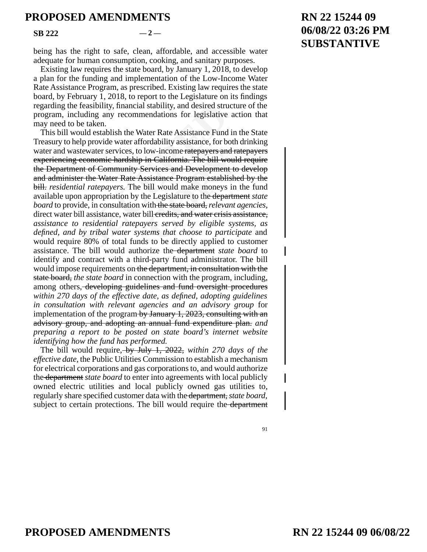**SB 222**  $-2$ 

being has the right to safe, clean, affordable, and accessible water adequate for human consumption, cooking, and sanitary purposes.

Existing law requires the state board, by January 1, 2018, to develop a plan for the funding and implementation of the Low-Income Water Rate Assistance Program, as prescribed. Existing law requires the state board, by February 1, 2018, to report to the Legislature on its findings regarding the feasibility, financial stability, and desired structure of the program, including any recommendations for legislative action that may need to be taken.

feasibility, financial stability, and desired stru<br>luding any recommendations for legislative<br>be taken.<br>build establish the Water Rate Assistance Fund<br>elp provide water affordability assistance, for b<br>stewater services, to low-income ratepayers and ra<br>
in California. The bill would<br>
ervices and Development to<br>
ssistance Program establishe<br>
bill would make moneys in<br>
the Legislature to the <del>departm</del><br>
with the state board, *relevant a*<br>
bill e This bill would establish the Water Rate Assistance Fund in the State Treasury to help provide water affordability assistance, for both drinking water and wastewater services, to low-income ratepayers and ratepayers experiencing economic hardship in California. The bill would require the Department of Community Services and Development to develop and administer the Water Rate Assistance Program established by the bill. *residential ratepayers.* The bill would make moneys in the fund available upon appropriation by the Legislature to the department *state board* to provide, in consultation with the state board, *relevant agencies,* direct water bill assistance, water bill credits, and water crisis assistance, *assistance to residential ratepayers served by eligible systems, as defined, and by tribal water systems that choose to participate* and would require 80% of total funds to be directly applied to customer assistance. The bill would authorize the department *state board* to identify and contract with a third-party fund administrator. The bill would impose requirements on the department, in consultation with the state board, *the state board* in connection with the program, including, among others, developing guidelines and fund oversight procedures *within 270 days of the effective date, as defined, adopting guidelines in consultation with relevant agencies and an advisory group* for implementation of the program by January 1, 2023, consulting with an advisory group, and adopting an annual fund expenditure plan. *and preparing a report to be posted on state board's internet website identifying how the fund has performed.*

The bill would require, by July 1, 2022, *within 270 days of the effective date,* the Public Utilities Commission to establish a mechanism for electrical corporations and gas corporations to, and would authorize the department *state board* to enter into agreements with local publicly owned electric utilities and local publicly owned gas utilities to, regularly share specified customer data with the department, *state board,* subject to certain protections. The bill would require the <del>department</del>

#### 91

## **RN 22 15244 09 06/08/22 03:26 PM SUBSTANTIVE**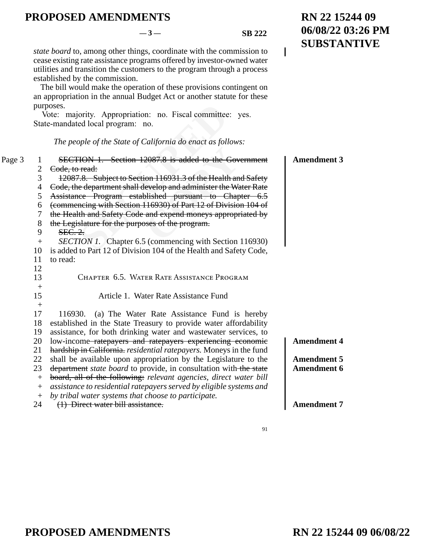#### $-3$  — SB 222

 $\overline{\phantom{a}}$ 

*state board* to, among other things, coordinate with the commission to cease existing rate assistance programs offered by investor-owned water utilities and transition the customers to the program through a process established by the commission.

The bill would make the operation of these provisions contingent on an appropriation in the annual Budget Act or another statute for these purposes.

|        |                                                                                                                        | purposes.<br>Vote: majority. Appropriation: no. Fiscal committee: yes.<br>State-mandated local program: no.                                                                                                                                                                                                                                                                                                                                                                                                                                                                                                                                                                                                               |                                                                                      |
|--------|------------------------------------------------------------------------------------------------------------------------|---------------------------------------------------------------------------------------------------------------------------------------------------------------------------------------------------------------------------------------------------------------------------------------------------------------------------------------------------------------------------------------------------------------------------------------------------------------------------------------------------------------------------------------------------------------------------------------------------------------------------------------------------------------------------------------------------------------------------|--------------------------------------------------------------------------------------|
|        |                                                                                                                        | The people of the State of California do enact as follows:                                                                                                                                                                                                                                                                                                                                                                                                                                                                                                                                                                                                                                                                |                                                                                      |
| Page 3 | 1<br>$\overline{c}$<br>3<br>$\overline{4}$<br>5<br>6<br>7<br>8<br>9<br>$+$<br>10<br>11<br>12<br>13<br>$+$<br>15<br>$+$ | <b>SECTION 1.</b> Section 12087.8 is added to the Government<br>Code, to read:<br>12087.8. Subject to Section 116931.3 of the Health and Safety<br>Code, the department shall develop and administer the Water Rate<br>Assistance Program established pursuant to Chapter 6.5<br>(commencing with Section 116930) of Part 12 of Division 104 of<br>the Health and Safety Code and expend moneys appropriated by<br>the Legislature for the purposes of the program.<br>SEC.2.<br><i>SECTION 1.</i> Chapter 6.5 (commencing with Section 116930)<br>is added to Part 12 of Division 104 of the Health and Safety Code,<br>to read:<br>CHAPTER 6.5. WATER RATE ASSISTANCE PROGRAM<br>Article 1. Water Rate Assistance Fund  | <b>Amendment 3</b>                                                                   |
|        | 17<br>18<br>19<br>20<br>21<br>22<br>23<br>$^{+}$<br>$^{+}$<br>$^{+}$<br>24                                             | 116930.<br>(a) The Water Rate Assistance Fund is hereby<br>established in the State Treasury to provide water affordability<br>assistance, for both drinking water and wastewater services, to<br>low-income-ratepayers and ratepayers experiencing economic<br>hardship in California. residential ratepayers. Moneys in the fund<br>shall be available upon appropriation by the Legislature to the<br>department <i>state board</i> to provide, in consultation with the state<br>board, all of the following: relevant agencies, direct water bill<br>assistance to residential ratepayers served by eligible systems and<br>by tribal water systems that choose to participate.<br>(1) Direct water bill assistance. | <b>Amendment 4</b><br><b>Amendment 5</b><br><b>Amendment 6</b><br><b>Amendment 7</b> |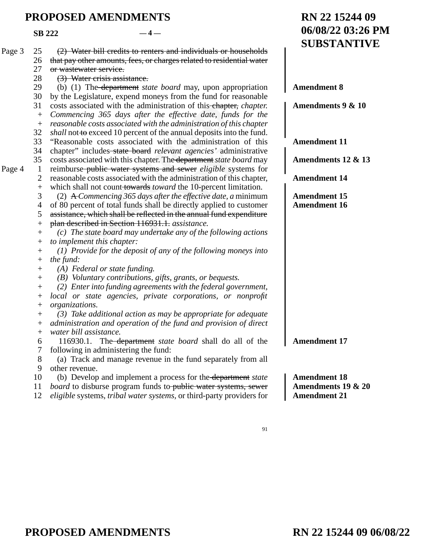**SB 222**  $-4-$ 

|        |                  |                                                                                                                                | <b>SUBSTANTIVE</b>  |
|--------|------------------|--------------------------------------------------------------------------------------------------------------------------------|---------------------|
| Page 3 | 25               | (2) Water bill credits to renters and individuals or households                                                                |                     |
|        | 26               | that pay other amounts, fees, or charges related to residential water                                                          |                     |
|        | 27               | or wastewater service.                                                                                                         |                     |
|        | 28               | (3) Water crisis assistance.                                                                                                   |                     |
|        | 29               | (b) (1) The <del>department</del> state board may, upon appropriation                                                          | <b>Amendment 8</b>  |
|        | 30               | by the Legislature, expend moneys from the fund for reasonable                                                                 |                     |
|        | 31               | costs associated with the administration of this-chapter, chapter.                                                             | Amendments 9 & 10   |
|        | $\boldsymbol{+}$ | Commencing 365 days after the effective date, funds for the                                                                    |                     |
|        | $^{+}$           | reasonable costs associated with the administration of this chapter                                                            |                     |
|        | 32               | <i>shall</i> not to exceed 10 percent of the annual deposits into the fund.                                                    |                     |
|        | 33               | "Reasonable costs associated with the administration of this                                                                   | <b>Amendment 11</b> |
|        | 34               | chapter" includes-state board relevant agencies' administrative                                                                |                     |
|        | 35               | costs associated with this chapter. The department state board may                                                             | Amendments 12 & 13  |
| Page 4 | $\mathbf{1}$     | reimburse-public water systems and sewer <i>eligible</i> systems for                                                           |                     |
|        | $\overline{c}$   | reasonable costs associated with the administration of this chapter,                                                           | <b>Amendment 14</b> |
|        | $\ddot{}$        | which shall not count towards toward the 10-percent limitation.                                                                |                     |
|        | 3                | (2) $\triangle$ Commencing 365 days after the effective date, a minimum                                                        | <b>Amendment 15</b> |
|        | 4                | of 80 percent of total funds shall be directly applied to customer                                                             | <b>Amendment 16</b> |
|        | 5                | assistance, which shall be reflected in the annual fund expenditure                                                            |                     |
|        | $^{+}$           | plan described in Section 116931.1. assistance.                                                                                |                     |
|        | $^{+}$           | (c) The state board may undertake any of the following actions                                                                 |                     |
|        | $^{+}$           | to implement this chapter:                                                                                                     |                     |
|        | $^+$             | $(1)$ Provide for the deposit of any of the following moneys into                                                              |                     |
|        | $^{+}$           | the fund:                                                                                                                      |                     |
|        | $\! + \!$        | (A) Federal or state funding.                                                                                                  |                     |
|        | $^{+}$           | (B) Voluntary contributions, gifts, grants, or bequests.                                                                       |                     |
|        | $^{+}$           | (2) Enter into funding agreements with the federal government,                                                                 |                     |
|        | $^+$             | local or state agencies, private corporations, or nonprofit                                                                    |                     |
|        | $^{+}$           | organizations.                                                                                                                 |                     |
|        | $^+$             | (3) Take additional action as may be appropriate for adequate                                                                  |                     |
|        | $^{+}$           | administration and operation of the fund and provision of direct<br>water bill assistance.                                     |                     |
|        | $\overline{+}$   |                                                                                                                                | <b>Amendment 17</b> |
|        | 6                | 116930.1. The department state board shall do all of the                                                                       |                     |
|        | 7<br>8           | following in administering the fund:                                                                                           |                     |
|        |                  | (a) Track and manage revenue in the fund separately from all<br>other revenue.                                                 |                     |
|        | 9<br>10          |                                                                                                                                | <b>Amendment 18</b> |
|        | 11               | (b) Develop and implement a process for the department state<br>board to disburse program funds to-public water systems, sewer | Amendments 19 & 20  |
|        | 12               | eligible systems, tribal water systems, or third-party providers for                                                           | <b>Amendment 21</b> |
|        |                  |                                                                                                                                |                     |

91

**RN 22 15244 09**

**06/08/22 03:26 PM**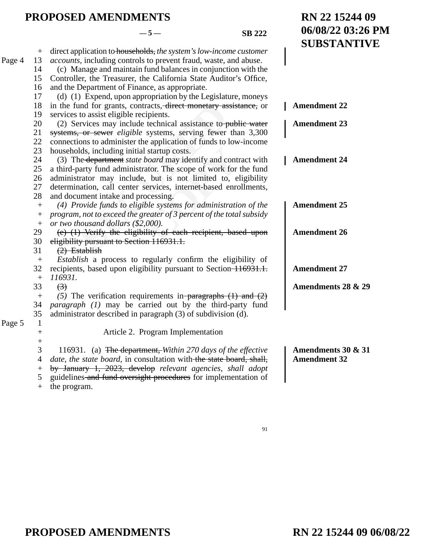**RN 22 15244 09**

**06/08/22 03:26 PM**

|        |                  |                                                                          | <b>SUBSTANTIVE</b>  |
|--------|------------------|--------------------------------------------------------------------------|---------------------|
|        | $^{+}$           | direct application to households, the system's low-income customer       |                     |
| Page 4 | 13               | <i>accounts</i> , including controls to prevent fraud, waste, and abuse. |                     |
|        | 14               | (c) Manage and maintain fund balances in conjunction with the            |                     |
|        | 15               | Controller, the Treasurer, the California State Auditor's Office,        |                     |
|        | 16               | and the Department of Finance, as appropriate.                           |                     |
|        | 17               | (d) (1) Expend, upon appropriation by the Legislature, moneys            |                     |
|        | 18               | in the fund for grants, contracts, direct monetary assistance, or        | <b>Amendment 22</b> |
|        | 19               | services to assist eligible recipients.                                  |                     |
|        | 20               | (2) Services may include technical assistance to public water            | <b>Amendment 23</b> |
|        | 21               | systems, or sewer <i>eligible</i> systems, serving fewer than 3,300      |                     |
|        | 22               | connections to administer the application of funds to low-income         |                     |
|        | 23               | households, including initial startup costs.                             |                     |
|        | 24               | (3) The department state board may identify and contract with            | <b>Amendment 24</b> |
|        | 25               | a third-party fund administrator. The scope of work for the fund         |                     |
|        | 26               | administrator may include, but is not limited to, eligibility            |                     |
|        | 27               | determination, call center services, internet-based enrollments,         |                     |
|        | 28               | and document intake and processing.                                      |                     |
|        | $+$              | (4) Provide funds to eligible systems for administration of the          | <b>Amendment 25</b> |
|        | $^{+}$           | program, not to exceed the greater of 3 percent of the total subsidy     |                     |
|        | $\boldsymbol{+}$ | or two thousand dollars (\$2,000).                                       |                     |
|        | 29               | (e) (1) Verify the eligibility of each recipient, based upon             | <b>Amendment 26</b> |
|        | 30               | eligibility pursuant to Section 116931.1.                                |                     |
|        | 31               | $(2)$ Establish                                                          |                     |
|        | $\boldsymbol{+}$ | Establish a process to regularly confirm the eligibility of              |                     |
|        | 32               | recipients, based upon eligibility pursuant to Section-116931.1.         | <b>Amendment 27</b> |
|        | $\boldsymbol{+}$ | 116931.                                                                  |                     |
|        | 33               | $3$                                                                      | Amendments 28 & 29  |
|        | $\boldsymbol{+}$ | (5) The verification requirements in-paragraphs $(1)$ and $(2)$          |                     |
|        | 34               | <i>paragraph</i> (1) may be carried out by the third-party fund          |                     |
|        | 35               | administrator described in paragraph (3) of subdivision (d).             |                     |
| Page 5 | $\mathbf{1}$     |                                                                          |                     |
|        | $\boldsymbol{+}$ | Article 2. Program Implementation                                        |                     |
|        | $\ddot{}$        |                                                                          |                     |
|        | 3                | 116931. (a) The department, Within 270 days of the effective             | Amendments 30 & 31  |
|        | 4                | date, the state board, in consultation with the state board, shall,      | <b>Amendment 32</b> |
|        | $\boldsymbol{+}$ | by January 1, 2023, develop relevant agencies, shall adopt               |                     |
|        | 5                | guidelines and fund oversight procedures for implementation of           |                     |
|        | $^{+}$           | the program.                                                             |                     |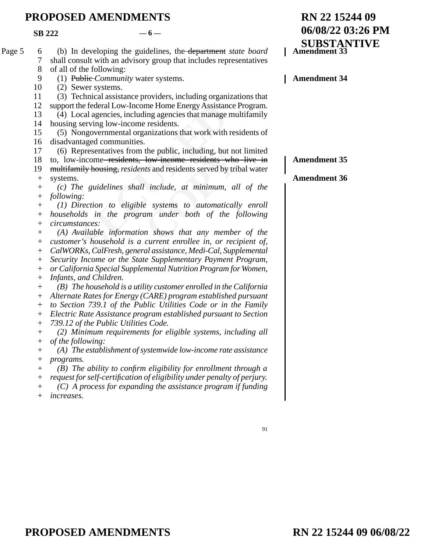|        | <b>SB 222</b>                    | $-6-$                                                                                                                                                                     | 06/08/22 03:26 PM |                                    |  |
|--------|----------------------------------|---------------------------------------------------------------------------------------------------------------------------------------------------------------------------|-------------------|------------------------------------|--|
| Page 5 | 6<br>7<br>8                      | (b) In developing the guidelines, the <del>department</del> state board<br>shall consult with an advisory group that includes representatives<br>of all of the following: |                   | <b>SUBSTANTIVE</b><br>Amendment 33 |  |
|        | 9                                | (1) Publie-Community water systems.                                                                                                                                       |                   | <b>Amendment 34</b>                |  |
|        | 10                               | (2) Sewer systems.                                                                                                                                                        |                   |                                    |  |
|        | 11                               | (3) Technical assistance providers, including organizations that                                                                                                          |                   |                                    |  |
|        | 12                               | support the federal Low-Income Home Energy Assistance Program.                                                                                                            |                   |                                    |  |
|        | 13                               | (4) Local agencies, including agencies that manage multifamily                                                                                                            |                   |                                    |  |
|        | 14                               | housing serving low-income residents.                                                                                                                                     |                   |                                    |  |
|        | 15                               | (5) Nongovernmental organizations that work with residents of                                                                                                             |                   |                                    |  |
|        | 16                               | disadvantaged communities.                                                                                                                                                |                   |                                    |  |
|        | 17                               | (6) Representatives from the public, including, but not limited                                                                                                           |                   |                                    |  |
|        | 18                               | to, low-income-residents, low-income-residents who live in                                                                                                                |                   | <b>Amendment 35</b>                |  |
|        | 19                               | multifamily housing, residents and residents served by tribal water                                                                                                       |                   |                                    |  |
|        | $^{+}$                           | systems.                                                                                                                                                                  |                   | <b>Amendment 36</b>                |  |
|        | $^+$                             | (c) The guidelines shall include, at minimum, all of the                                                                                                                  |                   |                                    |  |
|        | $\hspace{0.1mm} +$               | following:                                                                                                                                                                |                   |                                    |  |
|        | $\hspace{0.1mm} +$               | (1) Direction to eligible systems to automatically enroll                                                                                                                 |                   |                                    |  |
|        | $^+$                             | households in the program under both of the following                                                                                                                     |                   |                                    |  |
|        | $\hspace{0.1mm} +$               | circumstances:                                                                                                                                                            |                   |                                    |  |
|        | $\hspace{0.1mm} +$               | (A) Available information shows that any member of the                                                                                                                    |                   |                                    |  |
|        | $^+$                             | customer's household is a current enrollee in, or recipient of,                                                                                                           |                   |                                    |  |
|        | $^{+}$                           | CalWORKs, CalFresh, general assistance, Medi-Cal, Supplemental                                                                                                            |                   |                                    |  |
|        | $^+$                             | Security Income or the State Supplementary Payment Program,                                                                                                               |                   |                                    |  |
|        | $^+$                             | or California Special Supplemental Nutrition Program for Women,<br>Infants, and Children.                                                                                 |                   |                                    |  |
|        | $^{+}$                           | $(B)$ The household is a utility customer enrolled in the California                                                                                                      |                   |                                    |  |
|        | $^{+}$<br>$^+$                   | Alternate Rates for Energy (CARE) program established pursuant                                                                                                            |                   |                                    |  |
|        | $^{+}$                           | to Section 739.1 of the Public Utilities Code or in the Family                                                                                                            |                   |                                    |  |
|        | $^{+}$                           | Electric Rate Assistance program established pursuant to Section                                                                                                          |                   |                                    |  |
|        | $^{+}$                           | 739.12 of the Public Utilities Code.                                                                                                                                      |                   |                                    |  |
|        | $^{+}$                           | (2) Minimum requirements for eligible systems, including all                                                                                                              |                   |                                    |  |
|        | $^+$                             | of the following:                                                                                                                                                         |                   |                                    |  |
|        | $^+$                             | $(A)$ The establishment of systemwide low-income rate assistance                                                                                                          |                   |                                    |  |
|        | $\hspace{0.1mm} +\hspace{0.1mm}$ | programs.                                                                                                                                                                 |                   |                                    |  |
|        | $^+$                             | $(B)$ The ability to confirm eligibility for enrollment through a                                                                                                         |                   |                                    |  |
|        | $\hspace{0.1mm} +$               | request for self-certification of eligibility under penalty of perjury.                                                                                                   |                   |                                    |  |
|        | $\hspace{0.1mm} +$               | $(C)$ A process for expanding the assistance program if funding                                                                                                           |                   |                                    |  |
|        | $^{+}$                           | increases.                                                                                                                                                                |                   |                                    |  |

91

**RN 22 15244 09**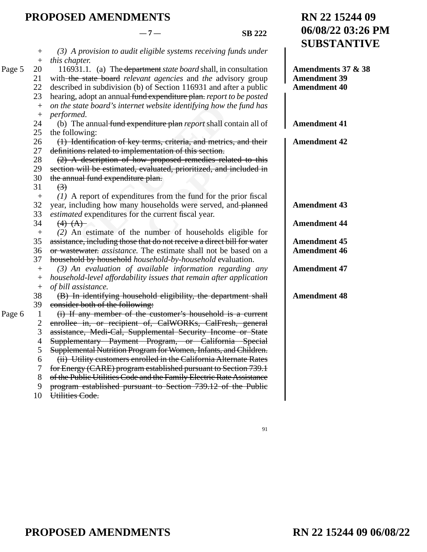Page

Page

**RN 22 15244 09**

**06/08/22 03:26 PM**

|   |                        |                                                                                                                                     | <b>SUBSTANTIVE</b>  |
|---|------------------------|-------------------------------------------------------------------------------------------------------------------------------------|---------------------|
|   | $^{+}$                 | $(3)$ A provision to audit eligible systems receiving funds under                                                                   |                     |
|   | $\boldsymbol{+}$       | this chapter.                                                                                                                       |                     |
| 5 | 20                     | 116931.1. (a) The department state board shall, in consultation                                                                     | Amendments 37 & 38  |
|   | 21                     | with the state board relevant agencies and the advisory group                                                                       | <b>Amendment 39</b> |
|   | 22                     | described in subdivision (b) of Section 116931 and after a public                                                                   | <b>Amendment 40</b> |
|   | 23                     | hearing, adopt an annual fund expenditure plan. report to be posted                                                                 |                     |
|   |                        | on the state board's internet website identifying how the fund has                                                                  |                     |
|   |                        | performed.                                                                                                                          |                     |
|   | 24                     | (b) The annual fund expenditure plan report shall contain all of                                                                    | <b>Amendment 41</b> |
|   | 25                     | the following:                                                                                                                      |                     |
|   | 26                     | (1) Identification of key terms, criteria, and metrics, and their                                                                   | <b>Amendment 42</b> |
|   | 27                     | definitions related to implementation of this section.                                                                              |                     |
|   | 28                     | (2) A description of how proposed remedies related to this                                                                          |                     |
|   | 29                     | section will be estimated, evaluated, prioritized, and included in                                                                  |                     |
|   | 30                     | the annual fund expenditure plan.                                                                                                   |                     |
|   | 31                     | $\left(\frac{3}{2}\right)$                                                                                                          |                     |
|   | $+$                    | $(1)$ A report of expenditures from the fund for the prior fiscal                                                                   |                     |
|   | 32                     | year, including how many households were served, and-planned                                                                        | <b>Amendment 43</b> |
|   | 33                     | estimated expenditures for the current fiscal year.                                                                                 |                     |
|   | 34                     | $(4)$ $(A)$                                                                                                                         | <b>Amendment 44</b> |
|   | $\boldsymbol{+}$<br>35 | (2) An estimate of the number of households eligible for<br>assistance, including those that do not receive a direct bill for water | <b>Amendment 45</b> |
|   | 36                     | or wastewater, <i>assistance</i> . The estimate shall not be based on a                                                             | <b>Amendment 46</b> |
|   | 37                     | household by household household-by-household evaluation.                                                                           |                     |
|   | $^{+}$                 | $(3)$ An evaluation of available information regarding any                                                                          | <b>Amendment 47</b> |
|   | $^{+}$                 | household-level affordability issues that remain after application                                                                  |                     |
|   | $\boldsymbol{+}$       | of bill assistance.                                                                                                                 |                     |
|   | 38                     | (B) In identifying household eligibility, the department shall                                                                      | <b>Amendment 48</b> |
|   | 39                     | consider both of the following:                                                                                                     |                     |
| 6 | $\mathbf{1}$           | (i) If any member of the customer's household is a current                                                                          |                     |
|   | $\overline{c}$         | enrollee in, or recipient of, CalWORKs, CalFresh, general                                                                           |                     |
|   | 3                      | assistance, Medi-Cal, Supplemental Security Income or State                                                                         |                     |
|   | $\overline{4}$         | Supplementary Payment Program, or California Special                                                                                |                     |
|   | 5                      | Supplemental Nutrition Program for Women, Infants, and Children.                                                                    |                     |
|   | 6                      | (ii) Utility customers enrolled in the California Alternate Rates                                                                   |                     |
|   | 7                      | for Energy (CARE) program established pursuant to Section 739.1                                                                     |                     |
|   | $8\,$                  | of the Public Utilities Code and the Family Electric Rate Assistance                                                                |                     |
|   | $\mathbf{9}$           | program established pursuant to Section 739.12 of the Public                                                                        |                     |
|   | 10                     | Utilities Code.                                                                                                                     |                     |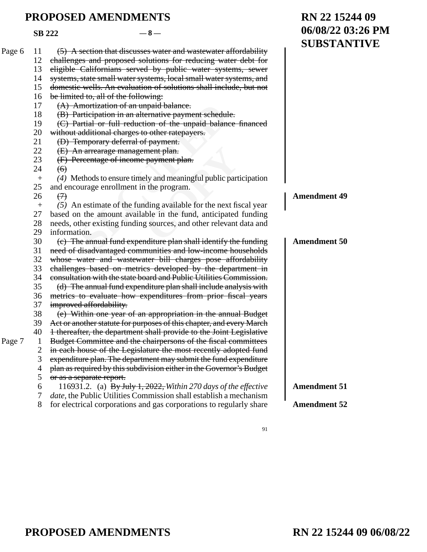|        | <b>SB 222</b> | $-8-$                                                                     | 06/08/22 03:26 PM   |  |
|--------|---------------|---------------------------------------------------------------------------|---------------------|--|
| Page 6 | 11            | (5) A section that discusses water and wastewater affordability           | <b>SUBSTANTIVE</b>  |  |
|        | 12            | challenges and proposed solutions for reducing water debt for             |                     |  |
|        | 13            | eligible Californians served by public water systems, sewer               |                     |  |
|        | 14            | systems, state small water systems, local small water systems, and        |                     |  |
|        | 15            | domestic wells. An evaluation of solutions shall include, but not         |                     |  |
|        | 16            | be limited to, all of the following:                                      |                     |  |
|        | 17            | (A) Amortization of an unpaid balance.                                    |                     |  |
|        | 18            | (B) Participation in an alternative payment schedule.                     |                     |  |
|        | 19            | (C) Partial or full reduction of the unpaid balance financed              |                     |  |
|        | 20            | without additional charges to other ratepayers.                           |                     |  |
|        | 21            | (D) Temporary deferral of payment.                                        |                     |  |
|        | 22            | (E) An arrearage management plan.                                         |                     |  |
|        | 23            | (F) Percentage of income payment plan.                                    |                     |  |
|        | 24            | $\left( 6 \right)$                                                        |                     |  |
|        | $+$           | (4) Methods to ensure timely and meaningful public participation          |                     |  |
|        | 25            | and encourage enrollment in the program.                                  |                     |  |
|        | 26            | $\leftrightarrow$                                                         | <b>Amendment 49</b> |  |
|        |               | $(5)$ An estimate of the funding available for the next fiscal year       |                     |  |
|        | 27            | based on the amount available in the fund, anticipated funding            |                     |  |
|        | 28            | needs, other existing funding sources, and other relevant data and        |                     |  |
|        | 29            | information.                                                              |                     |  |
|        | 30            | (e) The annual fund expenditure plan shall identify the funding           | <b>Amendment 50</b> |  |
|        | 31            | need of disadvantaged communities and low-income households               |                     |  |
|        | 32            | whose water and wastewater bill charges pose affordability                |                     |  |
|        | 33            | challenges based on metrics developed by the department in                |                     |  |
|        | 34            | consultation with the state board and Public Utilities Commission.        |                     |  |
|        | 35            | (d) The annual fund expenditure plan shall include analysis with          |                     |  |
|        | 36            | metrics to evaluate how expenditures from prior fiscal years              |                     |  |
|        | 37            | improved affordability.                                                   |                     |  |
|        | 38            | (e) Within one year of an appropriation in the annual Budget              |                     |  |
|        | 39            | Act or another statute for purposes of this chapter, and every March      |                     |  |
|        | 40            | 1 thereafter, the department shall provide to the Joint Legislative       |                     |  |
| Page 7 |               | Budget Committee and the chairpersons of the fiscal committees            |                     |  |
|        | 2             | in each house of the Legislature the most recently adopted fund           |                     |  |
|        | 3             | expenditure plan. The department may submit the fund expenditure          |                     |  |
|        | 4             | plan as required by this subdivision either in the Governor's Budget      |                     |  |
|        | 5             | or as a separate report.                                                  |                     |  |
|        | 6             | 116931.2. (a) By July 1, 2022, Within 270 days of the effective           | <b>Amendment 51</b> |  |
|        | 7             | <i>date</i> , the Public Utilities Commission shall establish a mechanism |                     |  |
|        | 8             | for electrical corporations and gas corporations to regularly share       | <b>Amendment 52</b> |  |
|        |               |                                                                           |                     |  |

91

**RN 22 15244 09**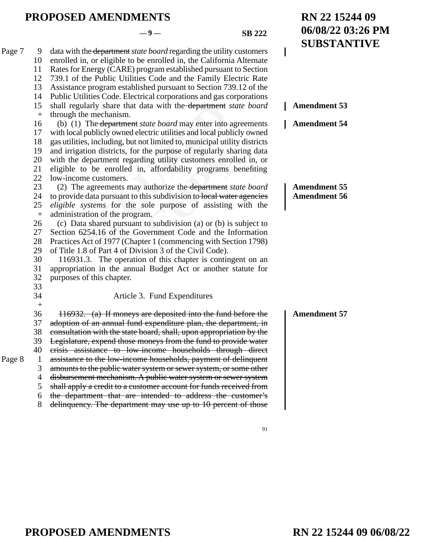#### $-9 -$ **SB** 222

**RN 22 15244 09**

**06/08/22 03:26 PM**

**SUBSTANTIVE** gularly share that data with the <del>department</del><br>the mechanism.<br>(a) The <del>department</del> *state board* may enter into<br>all publicly owned electric utilities and local pub<br>ies, including, but not limited to, municipal uti<br>gation di the purpose of regularly sharting utility customers enrolle, affordability programs be<br>authorize the <del>department</del> *stailis* subdivision to been water and purpose of assisting v<br>m.<br>to subdivision (a) or (b) is sufferent Cod data with the department *state board* regarding the utility customers enrolled in, or eligible to be enrolled in, the California Alternate Rates for Energy (CARE) program established pursuant to Section 739.1 of the Public Utilities Code and the Family Electric Rate Assistance program established pursuant to Section 739.12 of the Public Utilities Code. Electrical corporations and gas corporations shall regularly share that data with the department *state board* through the mechanism. (b) (1) The department *state board* may enter into agreements with local publicly owned electric utilities and local publicly owned gas utilities, including, but not limited to, municipal utility districts and irrigation districts, for the purpose of regularly sharing data with the department regarding utility customers enrolled in, or eligible to be enrolled in, affordability programs benefiting low-income customers. (2) The agreements may authorize the department *state board* to provide data pursuant to this subdivision to local water agencies *eligible systems* for the sole purpose of assisting with the administration of the program. (c) Data shared pursuant to subdivision (a) or (b) is subject to Section 6254.16 of the Government Code and the Information Practices Act of 1977 (Chapter 1 (commencing with Section 1798) of Title 1.8 of Part 4 of Division 3 of the Civil Code). 116931.3. The operation of this chapter is contingent on an appropriation in the annual Budget Act or another statute for purposes of this chapter. Article 3. Fund Expenditures 116932. (a) If moneys are deposited into the fund before the adoption of an annual fund expenditure plan, the department, in consultation with the state board, shall, upon appropriation by the Legislature, expend those moneys from the fund to provide water crisis assistance to low-income households through direct assistance to the low-income households, payment of delinquent amounts to the public water system or sewer system, or some other disbursement mechanism. A public water system or sewer system shall apply a credit to a customer account for funds received from the department that are intended to address the customer's delinquency. The department may use up to 10 percent of those Page 7 9 10 11 12 13 14 15  $+$ 16 17 18 19 20 21 22 23 24 25  $+$ 26 27 28 29 30 31 32 33 34  $+$ 36 37 38 39 40 Page 8 1 3 4 5 6 8 **Amendment 53 Amendment 54 Amendment 55 Amendment 56 Amendment 57**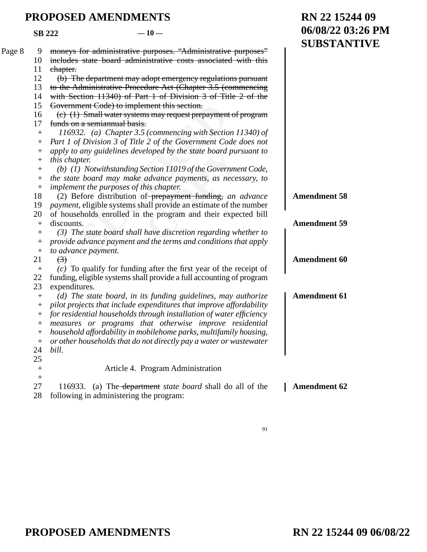|        | <b>SB 222</b>      | $-10-$                                                                                                                                      | 06/08/22 03:26 PM   |
|--------|--------------------|---------------------------------------------------------------------------------------------------------------------------------------------|---------------------|
| Page 8 | 9                  | moneys for administrative purposes. "Administrative purposes"                                                                               | <b>SUBSTANTIVE</b>  |
|        | 10                 | includes state board administrative costs associated with this                                                                              |                     |
|        | 11                 | chapter.                                                                                                                                    |                     |
|        | 12                 | (b) The department may adopt emergency regulations pursuant                                                                                 |                     |
|        | 13                 | to the Administrative Procedure Act (Chapter 3.5 (commencing                                                                                |                     |
|        | 14                 | with Section 11340) of Part 1 of Division 3 of Title 2 of the                                                                               |                     |
|        | 15                 | Government Code) to implement this section.                                                                                                 |                     |
|        | 16                 | (e) (1) Small water systems may request prepayment of program                                                                               |                     |
|        | 17                 | funds on a semian nual basis.                                                                                                               |                     |
|        | $^{+}$             | 116932. (a) Chapter 3.5 (commencing with Section 11340) of                                                                                  |                     |
|        | $^+$               | Part 1 of Division 3 of Title 2 of the Government Code does not                                                                             |                     |
|        | $\hspace{0.1mm} +$ | apply to any guidelines developed by the state board pursuant to                                                                            |                     |
|        | $\hspace{0.1mm} +$ | this chapter.                                                                                                                               |                     |
|        | $^{+}$             | (b) (1) Notwithstanding Section 11019 of the Government Code,                                                                               |                     |
|        | $^{+}$             | the state board may make advance payments, as necessary, to                                                                                 |                     |
|        | $^{+}$             | implement the purposes of this chapter.                                                                                                     |                     |
|        | 18                 | (2) Before distribution of prepayment funding, an advance                                                                                   | <b>Amendment 58</b> |
|        | 19                 | <i>payment</i> , eligible systems shall provide an estimate of the number                                                                   |                     |
|        | 20                 | of households enrolled in the program and their expected bill                                                                               |                     |
|        | $^{+}$             | discounts.                                                                                                                                  | <b>Amendment 59</b> |
|        | $^{+}$             | $(3)$ The state board shall have discretion regarding whether to                                                                            |                     |
|        | $^+$               | provide advance payment and the terms and conditions that apply                                                                             |                     |
|        | $^{+}$             | to advance payment.                                                                                                                         |                     |
|        | 21                 | $\left(3\right)$                                                                                                                            | <b>Amendment 60</b> |
|        | $^{+}$<br>22       | $(c)$ To qualify for funding after the first year of the receipt of<br>funding, eligible systems shall provide a full accounting of program |                     |
|        | 23                 | expenditures.                                                                                                                               |                     |
|        | $^{+}$             | (d) The state board, in its funding guidelines, may authorize                                                                               | <b>Amendment 61</b> |
|        | $^+$               | pilot projects that include expenditures that improve affordability                                                                         |                     |
|        | $^+$               | for residential households through installation of water efficiency                                                                         |                     |
|        | $^{+}$             | measures or programs that otherwise improve residential                                                                                     |                     |
|        | $^{+}$             | household affordability in mobilehome parks, multifamily housing,                                                                           |                     |
|        | $^{+}$             | or other households that do not directly pay a water or wastewater                                                                          |                     |
|        | 24                 | bill.                                                                                                                                       |                     |
|        | 25                 |                                                                                                                                             |                     |
|        | $^+$               | Article 4. Program Administration                                                                                                           |                     |
|        | $\hspace{0.1mm} +$ |                                                                                                                                             |                     |
|        | 27                 | (a) The <del>department</del> <i>state board</i> shall do all of the<br>116933.                                                             | <b>Amendment 62</b> |
|        | 28                 | following in administering the program:                                                                                                     |                     |

91

**RN 22 15244 09**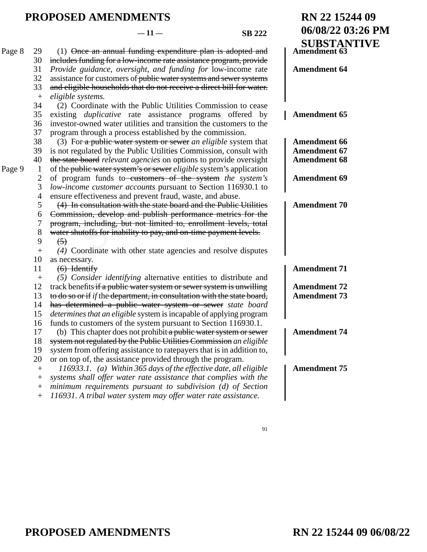**RN 22 15244 09**

**06/08/22 03:26 PM**

| Page 8 | 29           | $(1)$ Once an annual funding expenditure plan is adopted and                   | <b>SUBSTANTIVE</b><br><b>Amendment 63</b> |
|--------|--------------|--------------------------------------------------------------------------------|-------------------------------------------|
|        | 30           | includes funding for a low-income rate assistance program, provide             |                                           |
|        | 31           | Provide guidance, oversight, and funding for low-income rate                   | <b>Amendment 64</b>                       |
|        | 32           | assistance for customers of public water systems and sewer systems             |                                           |
|        | 33           | and eligible households that do not receive a direct bill for water.           |                                           |
|        | $^{+}$       | eligible systems.                                                              |                                           |
|        | 34           | (2) Coordinate with the Public Utilities Commission to cease                   |                                           |
|        | 35           | existing <i>duplicative</i> rate assistance programs offered by                | <b>Amendment 65</b>                       |
|        | 36           | investor-owned water utilities and transition the customers to the             |                                           |
|        | 37           | program through a process established by the commission.                       |                                           |
|        | 38           | (3) For a public water system or sewer an eligible system that                 | <b>Amendment 66</b>                       |
|        | 39           | is not regulated by the Public Utilities Commission, consult with              | <b>Amendment 67</b>                       |
|        | 40           | the state board relevant agencies on options to provide oversight              | <b>Amendment 68</b>                       |
| Page 9 | $\mathbf{1}$ | of the public water system's or sewer <i>eligible</i> system's application     |                                           |
|        | 2            | of program funds to-customers of the system the system's                       | <b>Amendment 69</b>                       |
|        | 3            | low-income customer accounts pursuant to Section 116930.1 to                   |                                           |
|        | 4            | ensure effectiveness and prevent fraud, waste, and abuse.                      |                                           |
|        | 5            | (4) In consultation with the state board and the Public Utilities              | <b>Amendment 70</b>                       |
|        | 6            | Commission, develop and publish performance metrics for the                    |                                           |
|        | 7            | program, including, but not limited to, enrollment levels, total               |                                           |
|        | 8            | water shutoffs for inability to pay, and on-time payment levels.               |                                           |
|        | 9            | $\left(5\right)$                                                               |                                           |
|        |              | (4) Coordinate with other state agencies and resolve disputes                  |                                           |
|        | 10           | as necessary.                                                                  |                                           |
|        | 11           | $(6)$ Identify                                                                 | <b>Amendment 71</b>                       |
|        | $+$          | (5) Consider identifying alternative entities to distribute and                |                                           |
|        | 12           | track benefits if a public water system or sewer system is unwilling           | <b>Amendment 72</b>                       |
|        | 13           | to do so or if <i>if</i> the department, in consultation with the state board, | <b>Amendment 73</b>                       |
|        | 14           | has determined a public water system or sewer state board                      |                                           |
|        | 15           | <i>determines that an eligible</i> system is incapable of applying program     |                                           |
|        | 16           | funds to customers of the system pursuant to Section 116930.1.                 |                                           |
|        | 17           | (b) This chapter does not prohibit a public water system or sewer              | <b>Amendment 74</b>                       |
|        | 18           | system not regulated by the Public Utilities Commission an eligible            |                                           |
|        | 19           | system from offering assistance to ratepayers that is in addition to,          |                                           |
|        | 20           | or on top of, the assistance provided through the program.                     |                                           |
|        | $+$          | 116933.1. (a) Within 365 days of the effective date, all eligible              | <b>Amendment 75</b>                       |
|        | $^{+}$       | systems shall offer water rate assistance that complies with the               |                                           |
|        | $^+$         | minimum requirements pursuant to subdivision (d) of Section                    |                                           |
|        | $^{+}$       | 116931. A tribal water system may offer water rate assistance.                 |                                           |
|        |              |                                                                                |                                           |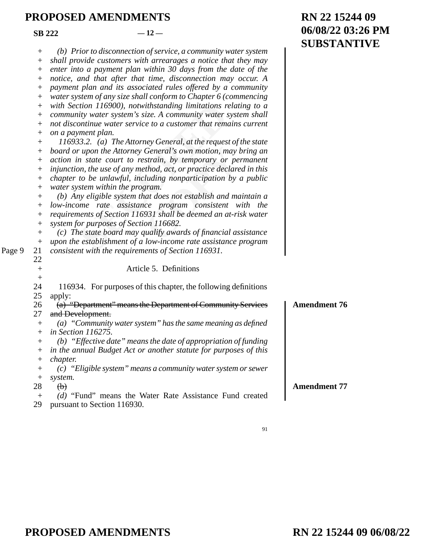**SB 222**  $-12$ 

Page 9

|                    |                                                                      | <b>SUBSTAI</b>      |
|--------------------|----------------------------------------------------------------------|---------------------|
| $^{+}$             | (b) Prior to disconnection of service, a community water system      |                     |
| $^{+}$             | shall provide customers with arrearages a notice that they may       |                     |
| $^+$               | enter into a payment plan within 30 days from the date of the        |                     |
| $^{+}$             | notice, and that after that time, disconnection may occur. A         |                     |
| $^{+}$             | payment plan and its associated rules offered by a community         |                     |
| $^+$               | water system of any size shall conform to Chapter 6 (commencing      |                     |
| $^{+}$             | with Section 116900), notwithstanding limitations relating to a      |                     |
| $^{+}$             | community water system's size. A community water system shall        |                     |
| $^{+}$             | not discontinue water service to a customer that remains current     |                     |
| $^{+}$             | on a payment plan.                                                   |                     |
| $^{+}$             | 116933.2. (a) The Attorney General, at the request of the state      |                     |
| $^+$               | board or upon the Attorney General's own motion, may bring an        |                     |
| $^{+}$             | action in state court to restrain, by temporary or permanent         |                     |
| $^{+}$             | injunction, the use of any method, act, or practice declared in this |                     |
| $^{+}$             | chapter to be unlawful, including nonparticipation by a public       |                     |
| $^{+}$             | water system within the program.                                     |                     |
| $^{+}$             | (b) Any eligible system that does not establish and maintain a       |                     |
| $^{+}$             | low-income rate assistance program consistent with the               |                     |
| $^{+}$             | requirements of Section 116931 shall be deemed an at-risk water      |                     |
| $\boldsymbol{+}$   | system for purposes of Section 116682.                               |                     |
| $\boldsymbol{+}$   | (c) The state board may qualify awards of financial assistance       |                     |
| $\boldsymbol{+}$   | upon the establishment of a low-income rate assistance program       |                     |
| 21                 | consistent with the requirements of Section 116931.                  |                     |
| 22                 |                                                                      |                     |
| $\boldsymbol{+}$   | Article 5. Definitions                                               |                     |
| $^{+}$             |                                                                      |                     |
| 24                 | 116934. For purposes of this chapter, the following definitions      |                     |
| 25                 | apply:                                                               |                     |
| 26                 | (a) "Department" means the Department of Community Services          | <b>Amendment 76</b> |
| 27                 | and Development.                                                     |                     |
| $^{+}$             | $(a)$ "Community water system" has the same meaning as defined       |                     |
| $^{+}$             | <i>in Section 116275.</i>                                            |                     |
| $+$                | (b) "Effective date" means the date of appropriation of funding      |                     |
|                    | in the annual Budget Act or another statute for purposes of this     |                     |
| $^+$               | <i>chapter.</i>                                                      |                     |
| $\hspace{0.1mm} +$ | (c) "Eligible system" means a community water system or sewer        |                     |
| $^{+}$             | system.                                                              |                     |
| 28                 | $\left(\mathbf{b}\right)$                                            | <b>Amendment 77</b> |
| $^{+}$             | (d) "Fund" means the Water Rate Assistance Fund created              |                     |
| 29                 | pursuant to Section 116930.                                          |                     |
|                    |                                                                      |                     |

**RN 22 15244 09 06/08/22 03:26 PM SYTIVE**